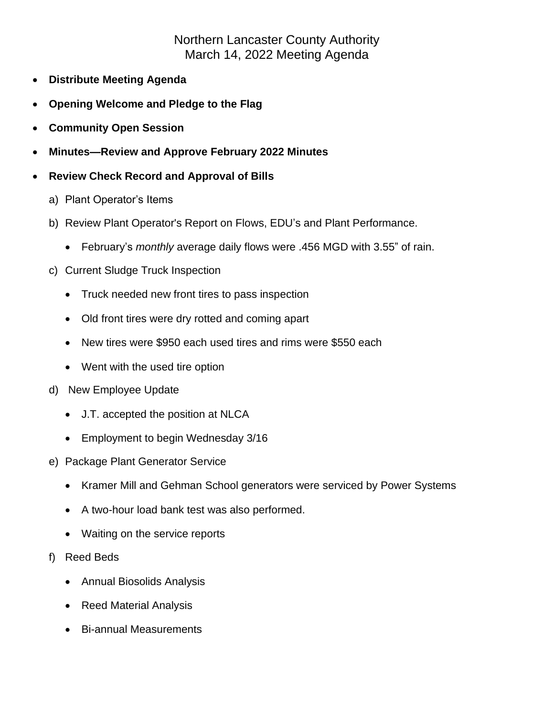## Northern Lancaster County Authority March 14, 2022 Meeting Agenda

- **Distribute Meeting Agenda**
- **Opening Welcome and Pledge to the Flag**
- **Community Open Session**
- **Minutes—Review and Approve February 2022 Minutes**
- **Review Check Record and Approval of Bills**
	- a) Plant Operator's Items
	- b) Review Plant Operator's Report on Flows, EDU's and Plant Performance.
		- February's *monthly* average daily flows were .456 MGD with 3.55" of rain.
	- c) Current Sludge Truck Inspection
		- Truck needed new front tires to pass inspection
		- Old front tires were dry rotted and coming apart
		- New tires were \$950 each used tires and rims were \$550 each
		- Went with the used tire option
	- d) New Employee Update
		- J.T. accepted the position at NLCA
		- Employment to begin Wednesday 3/16
	- e) Package Plant Generator Service
		- Kramer Mill and Gehman School generators were serviced by Power Systems
		- A two-hour load bank test was also performed.
		- Waiting on the service reports
	- f) Reed Beds
		- Annual Biosolids Analysis
		- Reed Material Analysis
		- Bi-annual Measurements